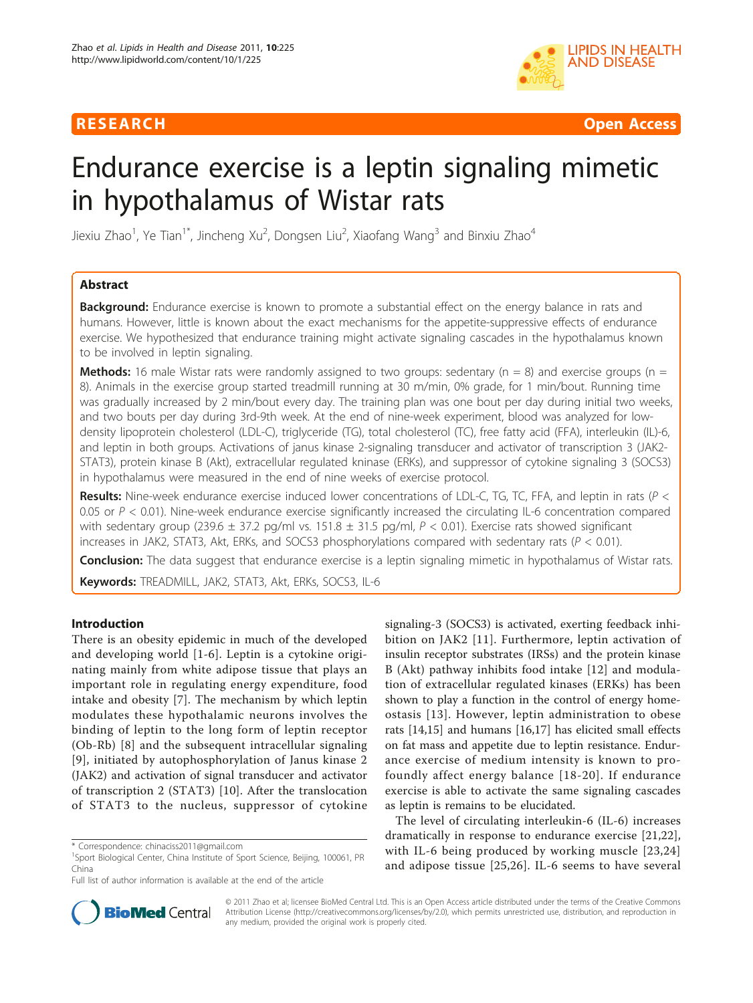

RESEARCH **CONTROLLER CONTROLLER CONTROLLER CONTROLLER CONTROLLER CONTROLLER CONTROLLER CONTROLLER CONTROLLER CONTROLLER CONTROLLER CONTROLLER CONTROLLER CONTROLLER CONTROLLER CONTROLLER CONTROLLER CONTROLLER CONTROLLER CON** 

# Endurance exercise is a leptin signaling mimetic in hypothalamus of Wistar rats

Jiexiu Zhao<sup>1</sup>, Ye Tian<sup>1\*</sup>, Jincheng Xu<sup>2</sup>, Dongsen Liu<sup>2</sup>, Xiaofang Wang<sup>3</sup> and Binxiu Zhao<sup>4</sup>

# Abstract

**Background:** Endurance exercise is known to promote a substantial effect on the energy balance in rats and humans. However, little is known about the exact mechanisms for the appetite-suppressive effects of endurance exercise. We hypothesized that endurance training might activate signaling cascades in the hypothalamus known to be involved in leptin signaling.

**Methods:** 16 male Wistar rats were randomly assigned to two groups: sedentary ( $n = 8$ ) and exercise groups ( $n = 1$ ) 8). Animals in the exercise group started treadmill running at 30 m/min, 0% grade, for 1 min/bout. Running time was gradually increased by 2 min/bout every day. The training plan was one bout per day during initial two weeks, and two bouts per day during 3rd-9th week. At the end of nine-week experiment, blood was analyzed for lowdensity lipoprotein cholesterol (LDL-C), triglyceride (TG), total cholesterol (TC), free fatty acid (FFA), interleukin (IL)-6, and leptin in both groups. Activations of janus kinase 2-signaling transducer and activator of transcription 3 (JAK2- STAT3), protein kinase B (Akt), extracellular regulated kninase (ERKs), and suppressor of cytokine signaling 3 (SOCS3) in hypothalamus were measured in the end of nine weeks of exercise protocol.

Results: Nine-week endurance exercise induced lower concentrations of LDL-C, TG, TC, FFA, and leptin in rats ( $P <$ 0.05 or  $P < 0.01$ ). Nine-week endurance exercise significantly increased the circulating IL-6 concentration compared with sedentary group (239.6  $\pm$  37.2 pg/ml vs. 151.8  $\pm$  31.5 pg/ml, P < 0.01). Exercise rats showed significant increases in JAK2, STAT3, Akt, ERKs, and SOCS3 phosphorylations compared with sedentary rats ( $P < 0.01$ ).

**Conclusion:** The data suggest that endurance exercise is a leptin signaling mimetic in hypothalamus of Wistar rats.

Keywords: TREADMILL, JAK2, STAT3, Akt, ERKs, SOCS3, IL-6

## Introduction

There is an obesity epidemic in much of the developed and developing world [[1](#page-5-0)-[6](#page-5-0)]. Leptin is a cytokine originating mainly from white adipose tissue that plays an important role in regulating energy expenditure, food intake and obesity [\[7](#page-5-0)]. The mechanism by which leptin modulates these hypothalamic neurons involves the binding of leptin to the long form of leptin receptor (Ob-Rb) [[8\]](#page-5-0) and the subsequent intracellular signaling [[9](#page-5-0)], initiated by autophosphorylation of Janus kinase 2 (JAK2) and activation of signal transducer and activator of transcription 2 (STAT3) [[10\]](#page-5-0). After the translocation of STAT3 to the nucleus, suppressor of cytokine

signaling-3 (SOCS3) is activated, exerting feedback inhibition on JAK2 [[11](#page-5-0)]. Furthermore, leptin activation of insulin receptor substrates (IRSs) and the protein kinase B (Akt) pathway inhibits food intake [[12\]](#page-5-0) and modulation of extracellular regulated kinases (ERKs) has been shown to play a function in the control of energy homeostasis [[13](#page-5-0)]. However, leptin administration to obese rats [\[14,15\]](#page-5-0) and humans [\[16,](#page-5-0)[17\]](#page-6-0) has elicited small effects on fat mass and appetite due to leptin resistance. Endurance exercise of medium intensity is known to profoundly affect energy balance [[18-20](#page-6-0)]. If endurance exercise is able to activate the same signaling cascades as leptin is remains to be elucidated.

The level of circulating interleukin-6 (IL-6) increases dramatically in response to endurance exercise [[21,22](#page-6-0)], with IL-6 being produced by working muscle [[23](#page-6-0),[24](#page-6-0)] and adipose tissue [[25](#page-6-0),[26\]](#page-6-0). IL-6 seems to have several



© 2011 Zhao et al; licensee BioMed Central Ltd. This is an Open Access article distributed under the terms of the Creative Commons Attribution License [\(http://creativecommons.org/licenses/by/2.0](http://creativecommons.org/licenses/by/2.0)), which permits unrestricted use, distribution, and reproduction in any medium, provided the original work is properly cited.

<sup>\*</sup> Correspondence: [chinaciss2011@gmail.com](mailto:chinaciss2011@gmail.com)

<sup>&</sup>lt;sup>1</sup>Sport Biological Center, China Institute of Sport Science, Beijing, 100061, PR China

Full list of author information is available at the end of the article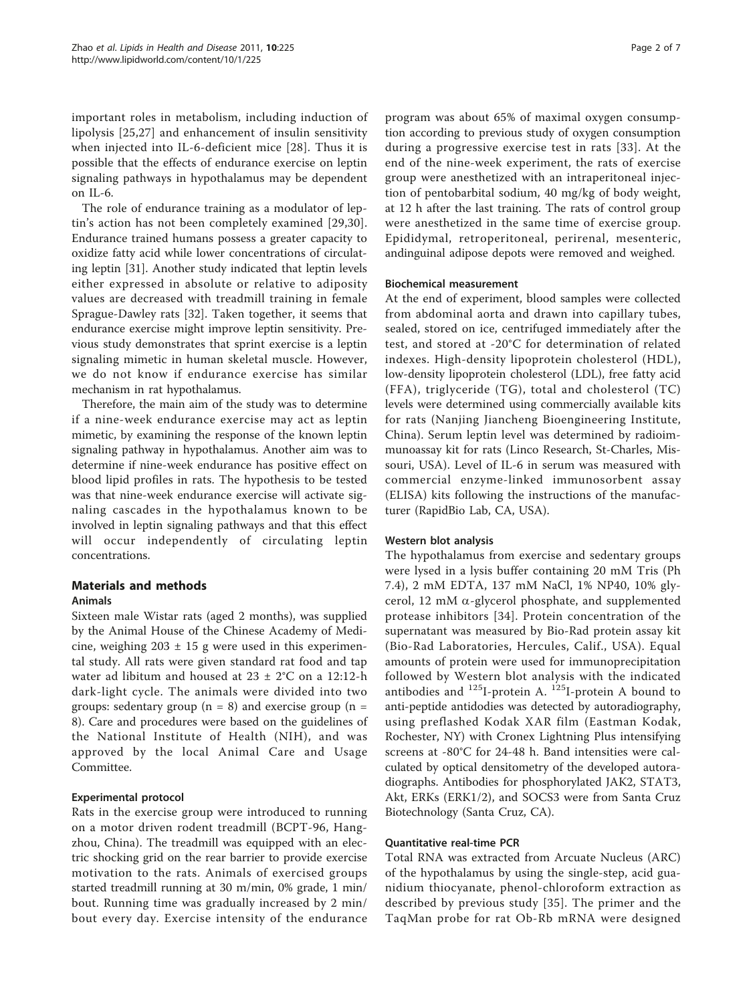important roles in metabolism, including induction of lipolysis [\[25](#page-6-0),[27\]](#page-6-0) and enhancement of insulin sensitivity when injected into IL-6-deficient mice [[28](#page-6-0)]. Thus it is possible that the effects of endurance exercise on leptin signaling pathways in hypothalamus may be dependent on IL-6.

The role of endurance training as a modulator of leptin's action has not been completely examined [\[29,30](#page-6-0)]. Endurance trained humans possess a greater capacity to oxidize fatty acid while lower concentrations of circulating leptin [\[31\]](#page-6-0). Another study indicated that leptin levels either expressed in absolute or relative to adiposity values are decreased with treadmill training in female Sprague-Dawley rats [[32\]](#page-6-0). Taken together, it seems that endurance exercise might improve leptin sensitivity. Previous study demonstrates that sprint exercise is a leptin signaling mimetic in human skeletal muscle. However, we do not know if endurance exercise has similar mechanism in rat hypothalamus.

Therefore, the main aim of the study was to determine if a nine-week endurance exercise may act as leptin mimetic, by examining the response of the known leptin signaling pathway in hypothalamus. Another aim was to determine if nine-week endurance has positive effect on blood lipid profiles in rats. The hypothesis to be tested was that nine-week endurance exercise will activate signaling cascades in the hypothalamus known to be involved in leptin signaling pathways and that this effect will occur independently of circulating leptin concentrations.

# Materials and methods

## Animals

Sixteen male Wistar rats (aged 2 months), was supplied by the Animal House of the Chinese Academy of Medicine, weighing  $203 \pm 15$  g were used in this experimental study. All rats were given standard rat food and tap water ad libitum and housed at  $23 \pm 2^{\circ}$ C on a 12:12-h dark-light cycle. The animals were divided into two groups: sedentary group ( $n = 8$ ) and exercise group ( $n =$ 8). Care and procedures were based on the guidelines of the National Institute of Health (NIH), and was approved by the local Animal Care and Usage Committee.

## Experimental protocol

Rats in the exercise group were introduced to running on a motor driven rodent treadmill (BCPT-96, Hangzhou, China). The treadmill was equipped with an electric shocking grid on the rear barrier to provide exercise motivation to the rats. Animals of exercised groups started treadmill running at 30 m/min, 0% grade, 1 min/ bout. Running time was gradually increased by 2 min/ bout every day. Exercise intensity of the endurance Page 2 of 7

program was about 65% of maximal oxygen consumption according to previous study of oxygen consumption during a progressive exercise test in rats [[33](#page-6-0)]. At the end of the nine-week experiment, the rats of exercise group were anesthetized with an intraperitoneal injection of pentobarbital sodium, 40 mg/kg of body weight, at 12 h after the last training. The rats of control group were anesthetized in the same time of exercise group. Epididymal, retroperitoneal, perirenal, mesenteric, andinguinal adipose depots were removed and weighed.

#### Biochemical measurement

At the end of experiment, blood samples were collected from abdominal aorta and drawn into capillary tubes, sealed, stored on ice, centrifuged immediately after the test, and stored at -20°C for determination of related indexes. High-density lipoprotein cholesterol (HDL), low-density lipoprotein cholesterol (LDL), free fatty acid (FFA), triglyceride (TG), total and cholesterol (TC) levels were determined using commercially available kits for rats (Nanjing Jiancheng Bioengineering Institute, China). Serum leptin level was determined by radioimmunoassay kit for rats (Linco Research, St-Charles, Missouri, USA). Level of IL-6 in serum was measured with commercial enzyme-linked immunosorbent assay (ELISA) kits following the instructions of the manufacturer (RapidBio Lab, CA, USA).

#### Western blot analysis

The hypothalamus from exercise and sedentary groups were lysed in a lysis buffer containing 20 mM Tris (Ph 7.4), 2 mM EDTA, 137 mM NaCl, 1% NP40, 10% glycerol, 12 mM  $\alpha$ -glycerol phosphate, and supplemented protease inhibitors [[34](#page-6-0)]. Protein concentration of the supernatant was measured by Bio-Rad protein assay kit (Bio-Rad Laboratories, Hercules, Calif., USA). Equal amounts of protein were used for immunoprecipitation followed by Western blot analysis with the indicated antibodies and  $^{125}$ I-protein A.  $^{125}$ I-protein A bound to anti-peptide antidodies was detected by autoradiography, using preflashed Kodak XAR film (Eastman Kodak, Rochester, NY) with Cronex Lightning Plus intensifying screens at -80°C for 24-48 h. Band intensities were calculated by optical densitometry of the developed autoradiographs. Antibodies for phosphorylated JAK2, STAT3, Akt, ERKs (ERK1/2), and SOCS3 were from Santa Cruz Biotechnology (Santa Cruz, CA).

#### Quantitative real-time PCR

Total RNA was extracted from Arcuate Nucleus (ARC) of the hypothalamus by using the single-step, acid guanidium thiocyanate, phenol-chloroform extraction as described by previous study [[35](#page-6-0)]. The primer and the TaqMan probe for rat Ob-Rb mRNA were designed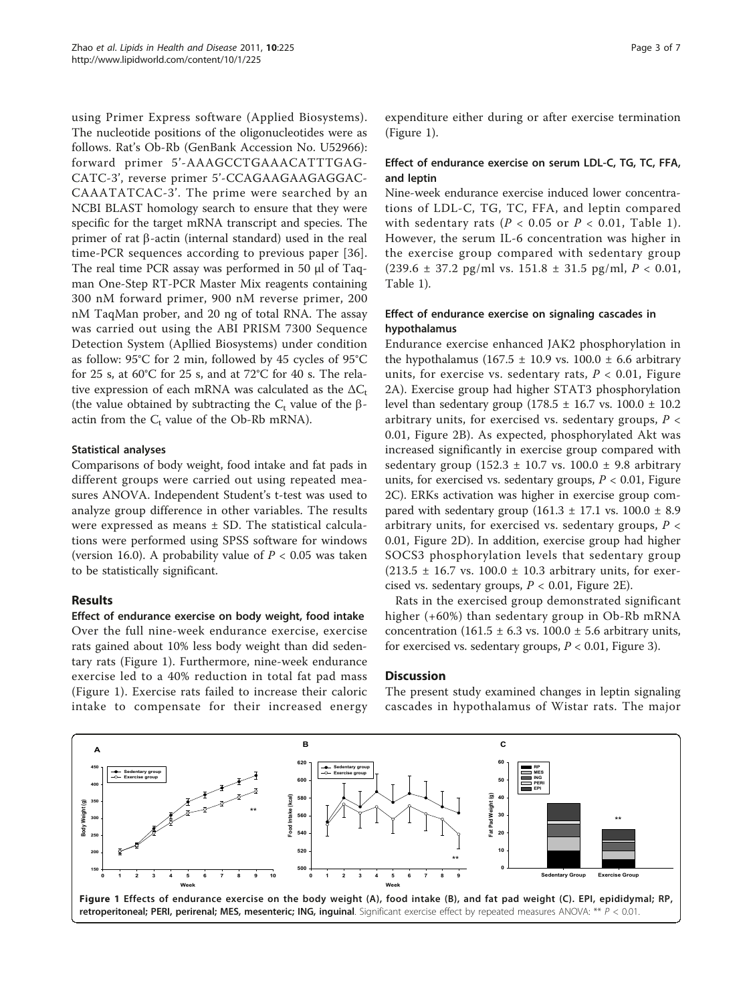<span id="page-2-0"></span>using Primer Express software (Applied Biosystems). The nucleotide positions of the oligonucleotides were as follows. Rat's Ob-Rb (GenBank Accession No. [U52966](http://www.ncbi.nih.gov/entrez/query.fcgi?db=Nucleotide&cmd=search&term=U52966)): forward primer 5'-AAAGCCTGAAACATTTGAG-CATC-3', reverse primer 5'-CCAGAAGAAGAGGAC-CAAATATCAC-3'. The prime were searched by an NCBI BLAST homology search to ensure that they were specific for the target mRNA transcript and species. The primer of rat  $\beta$ -actin (internal standard) used in the real time-PCR sequences according to previous paper [[36](#page-6-0)]. The real time PCR assay was performed in 50 μl of Taqman One-Step RT-PCR Master Mix reagents containing 300 nM forward primer, 900 nM reverse primer, 200 nM TaqMan prober, and 20 ng of total RNA. The assay was carried out using the ABI PRISM 7300 Sequence Detection System (Apllied Biosystems) under condition as follow: 95°C for 2 min, followed by 45 cycles of 95°C for 25 s, at 60°C for 25 s, and at 72°C for 40 s. The relative expression of each mRNA was calculated as the  $\Delta C_t$ (the value obtained by subtracting the  $C_t$  value of the  $\beta$ actin from the  $C_t$  value of the Ob-Rb mRNA).

#### Statistical analyses

Comparisons of body weight, food intake and fat pads in different groups were carried out using repeated measures ANOVA. Independent Student's t-test was used to analyze group difference in other variables. The results were expressed as means ± SD. The statistical calculations were performed using SPSS software for windows (version 16.0). A probability value of  $P < 0.05$  was taken to be statistically significant.

#### Results

Effect of endurance exercise on body weight, food intake Over the full nine-week endurance exercise, exercise rats gained about 10% less body weight than did sedentary rats (Figure 1). Furthermore, nine-week endurance exercise led to a 40% reduction in total fat pad mass (Figure 1). Exercise rats failed to increase their caloric intake to compensate for their increased energy expenditure either during or after exercise termination (Figure 1).

## Effect of endurance exercise on serum LDL-C, TG, TC, FFA, and leptin

Nine-week endurance exercise induced lower concentrations of LDL-C, TG, TC, FFA, and leptin compared with sedentary rats ( $P < 0.05$  or  $P < 0.01$ , Table [1\)](#page-3-0). However, the serum IL-6 concentration was higher in the exercise group compared with sedentary group  $(239.6 \pm 37.2 \text{ pg/ml vs. } 151.8 \pm 31.5 \text{ pg/ml}, P < 0.01,$ Table [1\)](#page-3-0).

## Effect of endurance exercise on signaling cascades in hypothalamus

Endurance exercise enhanced JAK2 phosphorylation in the hypothalamus (167.5  $\pm$  10.9 vs. 100.0  $\pm$  6.6 arbitrary units, for exercise vs. sedentary rats,  $P < 0.01$ , Figure [2A\)](#page-4-0). Exercise group had higher STAT3 phosphorylation level than sedentary group  $(178.5 \pm 16.7 \text{ vs. } 100.0 \pm 10.2 \text{ s})$ arbitrary units, for exercised vs. sedentary groups,  $P \leq$ 0.01, Figure [2B](#page-4-0)). As expected, phosphorylated Akt was increased significantly in exercise group compared with sedentary group (152.3  $\pm$  10.7 vs. 100.0  $\pm$  9.8 arbitrary units, for exercised vs. sedentary groups,  $P < 0.01$ , Figure [2C](#page-4-0)). ERKs activation was higher in exercise group compared with sedentary group  $(161.3 \pm 17.1 \text{ vs. } 100.0 \pm 8.9 \text{ s})$ arbitrary units, for exercised vs. sedentary groups,  $P <$ 0.01, Figure [2D](#page-4-0)). In addition, exercise group had higher SOCS3 phosphorylation levels that sedentary group  $(213.5 \pm 16.7 \text{ vs. } 100.0 \pm 10.3 \text{ arbitrary units, for exer-}$ cised vs. sedentary groups,  $P < 0.01$ , Figure [2E](#page-4-0)).

Rats in the exercised group demonstrated significant higher (+60%) than sedentary group in Ob-Rb mRNA concentration (161.5  $\pm$  6.3 vs. 100.0  $\pm$  5.6 arbitrary units, for exercised vs. sedentary groups,  $P < 0.01$ , Figure [3](#page-5-0)).

#### **Discussion**

The present study examined changes in leptin signaling cascades in hypothalamus of Wistar rats. The major

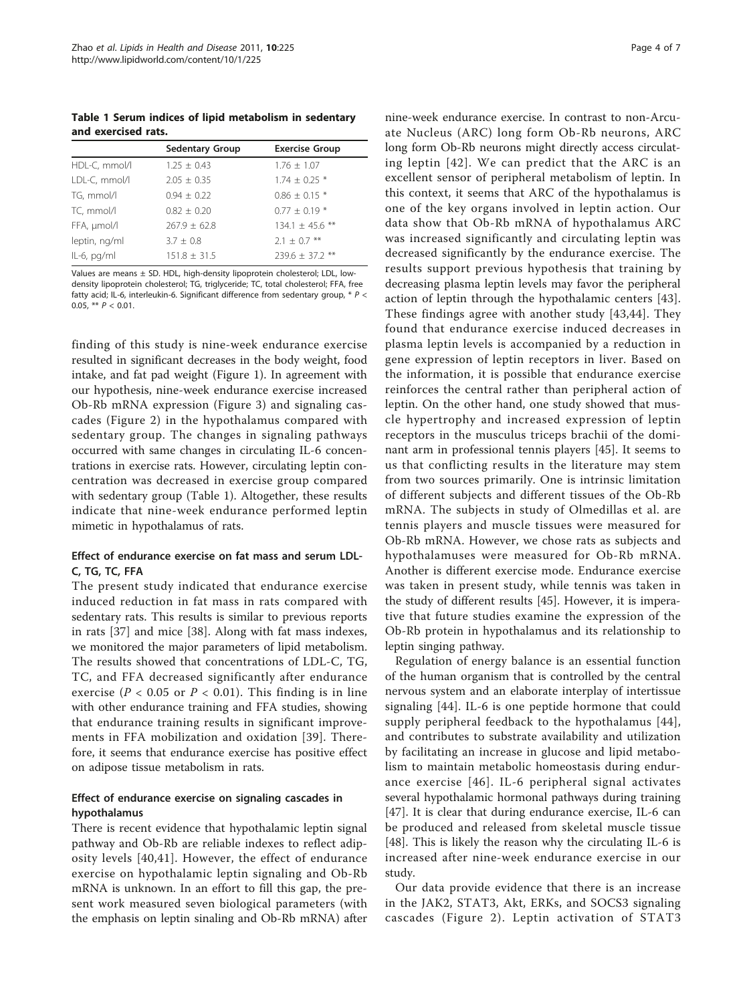<span id="page-3-0"></span>Table 1 Serum indices of lipid metabolism in sedentary and exercised rats.

|                | <b>Sedentary Group</b> | <b>Exercise Group</b> |
|----------------|------------------------|-----------------------|
| HDL-C, mmol/l  | $1.25 + 0.43$          | $1.76 \pm 1.07$       |
| LDL-C, mmol/l  | $2.05 + 0.35$          | $1.74 \pm 0.25$ *     |
| TG, mmol/l     | $0.94 + 0.22$          | $0.86 \pm 0.15$ *     |
| TC, mmol/l     | $0.82 + 0.20$          | $0.77 + 0.19*$        |
| FFA, µmol/l    | $767.9 + 62.8$         | 134.1 $\pm$ 45.6 **   |
| leptin, ng/ml  | $3.7 \pm 0.8$          | $2.1 \pm 0.7$ **      |
| $IL-6$ , pg/ml | $151.8 + 31.5$         | $239.6 + 37.2$ **     |

Values are means ± SD. HDL, high-density lipoprotein cholesterol; LDL, lowdensity lipoprotein cholesterol; TG, triglyceride; TC, total cholesterol; FFA, free fatty acid; IL-6, interleukin-6. Significant difference from sedentary group, \* P < 0.05, \*\*  $P < 0.01$ .

finding of this study is nine-week endurance exercise resulted in significant decreases in the body weight, food intake, and fat pad weight (Figure [1\)](#page-2-0). In agreement with our hypothesis, nine-week endurance exercise increased Ob-Rb mRNA expression (Figure [3](#page-5-0)) and signaling cascades (Figure [2](#page-4-0)) in the hypothalamus compared with sedentary group. The changes in signaling pathways occurred with same changes in circulating IL-6 concentrations in exercise rats. However, circulating leptin concentration was decreased in exercise group compared with sedentary group (Table 1). Altogether, these results indicate that nine-week endurance performed leptin mimetic in hypothalamus of rats.

# Effect of endurance exercise on fat mass and serum LDL-C, TG, TC, FFA

The present study indicated that endurance exercise induced reduction in fat mass in rats compared with sedentary rats. This results is similar to previous reports in rats [[37\]](#page-6-0) and mice [\[38](#page-6-0)]. Along with fat mass indexes, we monitored the major parameters of lipid metabolism. The results showed that concentrations of LDL-C, TG, TC, and FFA decreased significantly after endurance exercise ( $P < 0.05$  or  $P < 0.01$ ). This finding is in line with other endurance training and FFA studies, showing that endurance training results in significant improvements in FFA mobilization and oxidation [[39](#page-6-0)]. Therefore, it seems that endurance exercise has positive effect on adipose tissue metabolism in rats.

# Effect of endurance exercise on signaling cascades in hypothalamus

There is recent evidence that hypothalamic leptin signal pathway and Ob-Rb are reliable indexes to reflect adiposity levels [[40,41\]](#page-6-0). However, the effect of endurance exercise on hypothalamic leptin signaling and Ob-Rb mRNA is unknown. In an effort to fill this gap, the present work measured seven biological parameters (with the emphasis on leptin sinaling and Ob-Rb mRNA) after

nine-week endurance exercise. In contrast to non-Arcuate Nucleus (ARC) long form Ob-Rb neurons, ARC long form Ob-Rb neurons might directly access circulating leptin [\[42](#page-6-0)]. We can predict that the ARC is an excellent sensor of peripheral metabolism of leptin. In this context, it seems that ARC of the hypothalamus is one of the key organs involved in leptin action. Our data show that Ob-Rb mRNA of hypothalamus ARC was increased significantly and circulating leptin was decreased significantly by the endurance exercise. The results support previous hypothesis that training by decreasing plasma leptin levels may favor the peripheral action of leptin through the hypothalamic centers [[43](#page-6-0)]. These findings agree with another study [\[43,44](#page-6-0)]. They found that endurance exercise induced decreases in plasma leptin levels is accompanied by a reduction in gene expression of leptin receptors in liver. Based on the information, it is possible that endurance exercise reinforces the central rather than peripheral action of leptin. On the other hand, one study showed that muscle hypertrophy and increased expression of leptin receptors in the musculus triceps brachii of the dominant arm in professional tennis players [[45\]](#page-6-0). It seems to us that conflicting results in the literature may stem from two sources primarily. One is intrinsic limitation of different subjects and different tissues of the Ob-Rb mRNA. The subjects in study of Olmedillas et al. are tennis players and muscle tissues were measured for Ob-Rb mRNA. However, we chose rats as subjects and hypothalamuses were measured for Ob-Rb mRNA. Another is different exercise mode. Endurance exercise was taken in present study, while tennis was taken in the study of different results [[45\]](#page-6-0). However, it is imperative that future studies examine the expression of the Ob-Rb protein in hypothalamus and its relationship to leptin singing pathway.

Regulation of energy balance is an essential function of the human organism that is controlled by the central nervous system and an elaborate interplay of intertissue signaling [[44](#page-6-0)]. IL-6 is one peptide hormone that could supply peripheral feedback to the hypothalamus [[44](#page-6-0)], and contributes to substrate availability and utilization by facilitating an increase in glucose and lipid metabolism to maintain metabolic homeostasis during endurance exercise [[46\]](#page-6-0). IL-6 peripheral signal activates several hypothalamic hormonal pathways during training [[47\]](#page-6-0). It is clear that during endurance exercise, IL-6 can be produced and released from skeletal muscle tissue [[48\]](#page-6-0). This is likely the reason why the circulating IL-6 is increased after nine-week endurance exercise in our study.

Our data provide evidence that there is an increase in the JAK2, STAT3, Akt, ERKs, and SOCS3 signaling cascades (Figure [2\)](#page-4-0). Leptin activation of STAT3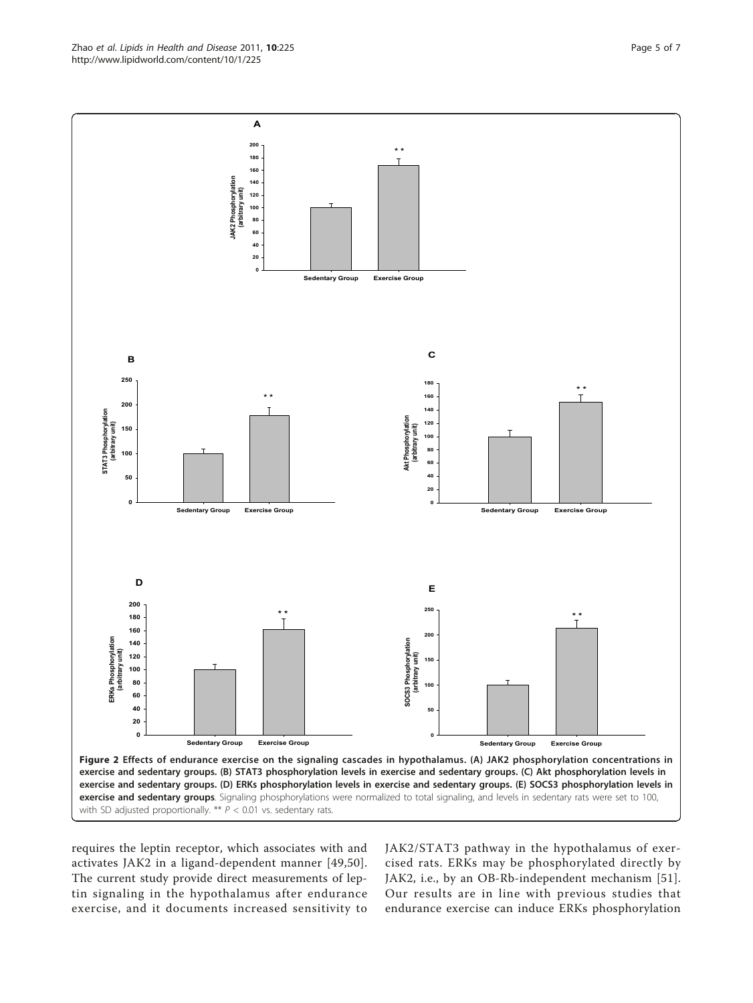<span id="page-4-0"></span>Zhao et al. Lipids in Health and Disease 2011, 10:225 http://www.lipidworld.com/content/10/1/225



requires the leptin receptor, which associates with and activates JAK2 in a ligand-dependent manner [[49](#page-6-0),[50\]](#page-6-0). The current study provide direct measurements of leptin signaling in the hypothalamus after endurance exercise, and it documents increased sensitivity to JAK2/STAT3 pathway in the hypothalamus of exercised rats. ERKs may be phosphorylated directly by JAK2, i.e., by an OB-Rb-independent mechanism [[51](#page-6-0)]. Our results are in line with previous studies that endurance exercise can induce ERKs phosphorylation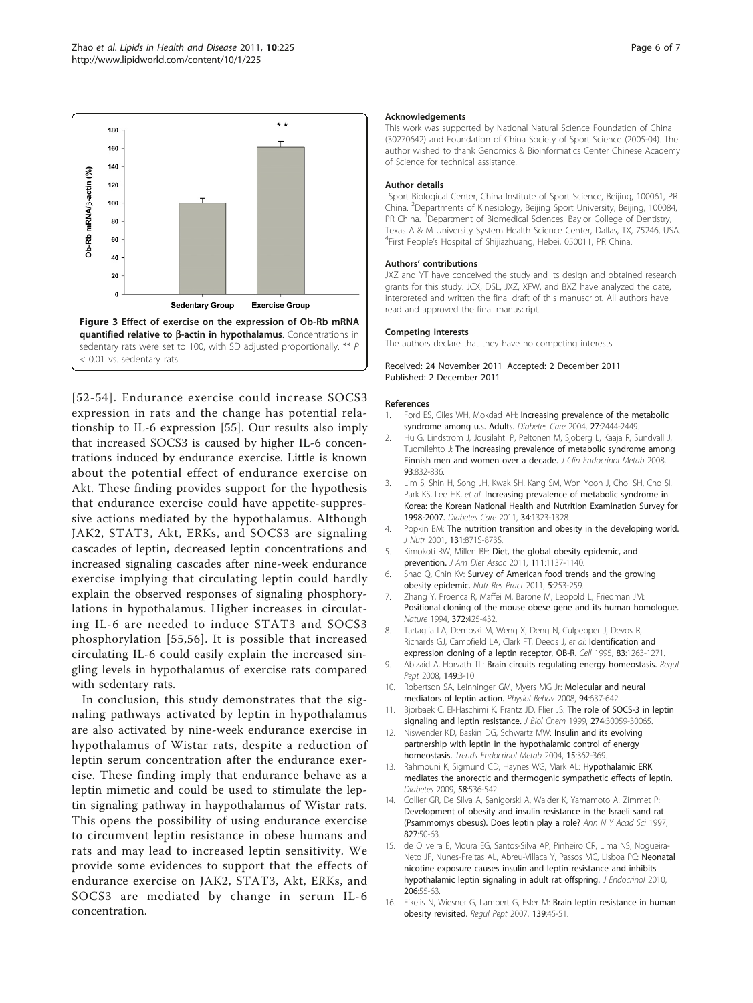<span id="page-5-0"></span>

[[52](#page-6-0)-[54](#page-6-0)]. Endurance exercise could increase SOCS3 expression in rats and the change has potential relationship to IL-6 expression [[55\]](#page-6-0). Our results also imply that increased SOCS3 is caused by higher IL-6 concentrations induced by endurance exercise. Little is known about the potential effect of endurance exercise on Akt. These finding provides support for the hypothesis that endurance exercise could have appetite-suppressive actions mediated by the hypothalamus. Although JAK2, STAT3, Akt, ERKs, and SOCS3 are signaling cascades of leptin, decreased leptin concentrations and increased signaling cascades after nine-week endurance exercise implying that circulating leptin could hardly explain the observed responses of signaling phosphorylations in hypothalamus. Higher increases in circulating IL-6 are needed to induce STAT3 and SOCS3 phosphorylation [[55,56\]](#page-6-0). It is possible that increased circulating IL-6 could easily explain the increased singling levels in hypothalamus of exercise rats compared with sedentary rats.

In conclusion, this study demonstrates that the signaling pathways activated by leptin in hypothalamus are also activated by nine-week endurance exercise in hypothalamus of Wistar rats, despite a reduction of leptin serum concentration after the endurance exercise. These finding imply that endurance behave as a leptin mimetic and could be used to stimulate the leptin signaling pathway in haypothalamus of Wistar rats. This opens the possibility of using endurance exercise to circumvent leptin resistance in obese humans and rats and may lead to increased leptin sensitivity. We provide some evidences to support that the effects of endurance exercise on JAK2, STAT3, Akt, ERKs, and SOCS3 are mediated by change in serum IL-6 concentration.

#### Acknowledgements

This work was supported by National Natural Science Foundation of China (30270642) and Foundation of China Society of Sport Science (2005-04). The author wished to thank Genomics & Bioinformatics Center Chinese Academy of Science for technical assistance.

#### Author details

<sup>1</sup>Sport Biological Center, China Institute of Sport Science, Beijing, 100061, PR China. <sup>2</sup>Departments of Kinesiology, Beijing Sport University, Beijing, 100084 PR China. <sup>3</sup>Department of Biomedical Sciences, Baylor College of Dentistry Texas A & M University System Health Science Center, Dallas, TX, 75246, USA. 4 First People's Hospital of Shijiazhuang, Hebei, 050011, PR China.

#### Authors' contributions

JXZ and YT have conceived the study and its design and obtained research grants for this study. JCX, DSL, JXZ, XFW, and BXZ have analyzed the date, interpreted and written the final draft of this manuscript. All authors have read and approved the final manuscript.

#### Competing interests

The authors declare that they have no competing interests.

Received: 24 November 2011 Accepted: 2 December 2011 Published: 2 December 2011

#### References

- 1. Ford ES, Giles WH, Mokdad AH: [Increasing prevalence of the metabolic](http://www.ncbi.nlm.nih.gov/pubmed/15451914?dopt=Abstract) [syndrome among u.s. Adults.](http://www.ncbi.nlm.nih.gov/pubmed/15451914?dopt=Abstract) Diabetes Care 2004, 27:2444-2449.
- 2. Hu G, Lindstrom J, Jousilahti P, Peltonen M, Sjoberg L, Kaaja R, Sundvall J, Tuomilehto J: [The increasing prevalence of metabolic syndrome among](http://www.ncbi.nlm.nih.gov/pubmed/18073296?dopt=Abstract) [Finnish men and women over a decade.](http://www.ncbi.nlm.nih.gov/pubmed/18073296?dopt=Abstract) J Clin Endocrinol Metab 2008, 93:832-836.
- 3. Lim S, Shin H, Song JH, Kwak SH, Kang SM, Won Yoon J, Choi SH, Cho SI, Park KS, Lee HK, et al: [Increasing prevalence of metabolic syndrome in](http://www.ncbi.nlm.nih.gov/pubmed/21505206?dopt=Abstract) [Korea: the Korean National Health and Nutrition Examination Survey for](http://www.ncbi.nlm.nih.gov/pubmed/21505206?dopt=Abstract) [1998-2007.](http://www.ncbi.nlm.nih.gov/pubmed/21505206?dopt=Abstract) Diabetes Care 2011, 34:1323-1328.
- 4. Popkin BM: [The nutrition transition and obesity in the developing world.](http://www.ncbi.nlm.nih.gov/pubmed/11238777?dopt=Abstract) J Nutr 2001, 131:871S-873S.
- 5. Kimokoti RW, Millen BE: [Diet, the global obesity epidemic, and](http://www.ncbi.nlm.nih.gov/pubmed/21802558?dopt=Abstract) [prevention.](http://www.ncbi.nlm.nih.gov/pubmed/21802558?dopt=Abstract) J Am Diet Assoc 2011, 111:1137-1140.
- 6. Shao Q, Chin KV: [Survey of American food trends and the growing](http://www.ncbi.nlm.nih.gov/pubmed/21779530?dopt=Abstract) [obesity epidemic.](http://www.ncbi.nlm.nih.gov/pubmed/21779530?dopt=Abstract) Nutr Res Pract 2011, 5:253-259.
- 7. Zhang Y, Proenca R, Maffei M, Barone M, Leopold L, Friedman JM: [Positional cloning of the mouse obese gene and its human homologue.](http://www.ncbi.nlm.nih.gov/pubmed/7984236?dopt=Abstract) Nature 1994, 372:425-432.
- 8. Tartaglia LA, Dembski M, Weng X, Deng N, Culpepper J, Devos R, Richards GJ, Campfield LA, Clark FT, Deeds J, et al: [Identification and](http://www.ncbi.nlm.nih.gov/pubmed/8548812?dopt=Abstract) [expression cloning of a leptin receptor, OB-R.](http://www.ncbi.nlm.nih.gov/pubmed/8548812?dopt=Abstract) Cell 1995, 83:1263-1271.
- 9. Abizaid A, Horvath TL: [Brain circuits regulating energy homeostasis.](http://www.ncbi.nlm.nih.gov/pubmed/18514925?dopt=Abstract) Regul Pept 2008, 149:3-10.
- 10. Robertson SA, Leinninger GM, Myers MG Jr: [Molecular and neural](http://www.ncbi.nlm.nih.gov/pubmed/18501391?dopt=Abstract) [mediators of leptin action.](http://www.ncbi.nlm.nih.gov/pubmed/18501391?dopt=Abstract) Physiol Behav 2008, 94:637-642.
- 11. Biorbaek C, El-Haschimi K, Frantz JD, Flier JS: [The role of SOCS-3 in leptin](http://www.ncbi.nlm.nih.gov/pubmed/10514492?dopt=Abstract) [signaling and leptin resistance.](http://www.ncbi.nlm.nih.gov/pubmed/10514492?dopt=Abstract) J Biol Chem 1999, 274:30059-30065.
- 12. Niswender KD, Baskin DG, Schwartz MW: [Insulin and its evolving](http://www.ncbi.nlm.nih.gov/pubmed/15380807?dopt=Abstract) [partnership with leptin in the hypothalamic control of energy](http://www.ncbi.nlm.nih.gov/pubmed/15380807?dopt=Abstract) [homeostasis.](http://www.ncbi.nlm.nih.gov/pubmed/15380807?dopt=Abstract) Trends Endocrinol Metab 2004, 15:362-369.
- 13. Rahmouni K, Sigmund CD, Haynes WG, Mark AL: [Hypothalamic ERK](http://www.ncbi.nlm.nih.gov/pubmed/19066310?dopt=Abstract) [mediates the anorectic and thermogenic sympathetic effects of leptin.](http://www.ncbi.nlm.nih.gov/pubmed/19066310?dopt=Abstract) Diabetes 2009, 58:536-542.
- 14. Collier GR, De Silva A, Sanigorski A, Walder K, Yamamoto A, Zimmet P: [Development of obesity and insulin resistance in the Israeli sand rat](http://www.ncbi.nlm.nih.gov/pubmed/9329741?dopt=Abstract) [\(Psammomys obesus\). Does leptin play a role?](http://www.ncbi.nlm.nih.gov/pubmed/9329741?dopt=Abstract) Ann N Y Acad Sci 1997, 827:50-63.
- 15. de Oliveira E, Moura EG, Santos-Silva AP, Pinheiro CR, Lima NS, Nogueira-Neto JF, Nunes-Freitas AL, Abreu-Villaca Y, Passos MC, Lisboa PC: [Neonatal](http://www.ncbi.nlm.nih.gov/pubmed/20453077?dopt=Abstract) [nicotine exposure causes insulin and leptin resistance and inhibits](http://www.ncbi.nlm.nih.gov/pubmed/20453077?dopt=Abstract) [hypothalamic leptin signaling in adult rat offspring.](http://www.ncbi.nlm.nih.gov/pubmed/20453077?dopt=Abstract) J Endocrinol 2010, 206:55-63.
- 16. Eikelis N, Wiesner G, Lambert G, Esler M: [Brain leptin resistance in human](http://www.ncbi.nlm.nih.gov/pubmed/17098302?dopt=Abstract) [obesity revisited.](http://www.ncbi.nlm.nih.gov/pubmed/17098302?dopt=Abstract) Regul Pept 2007, 139:45-51.